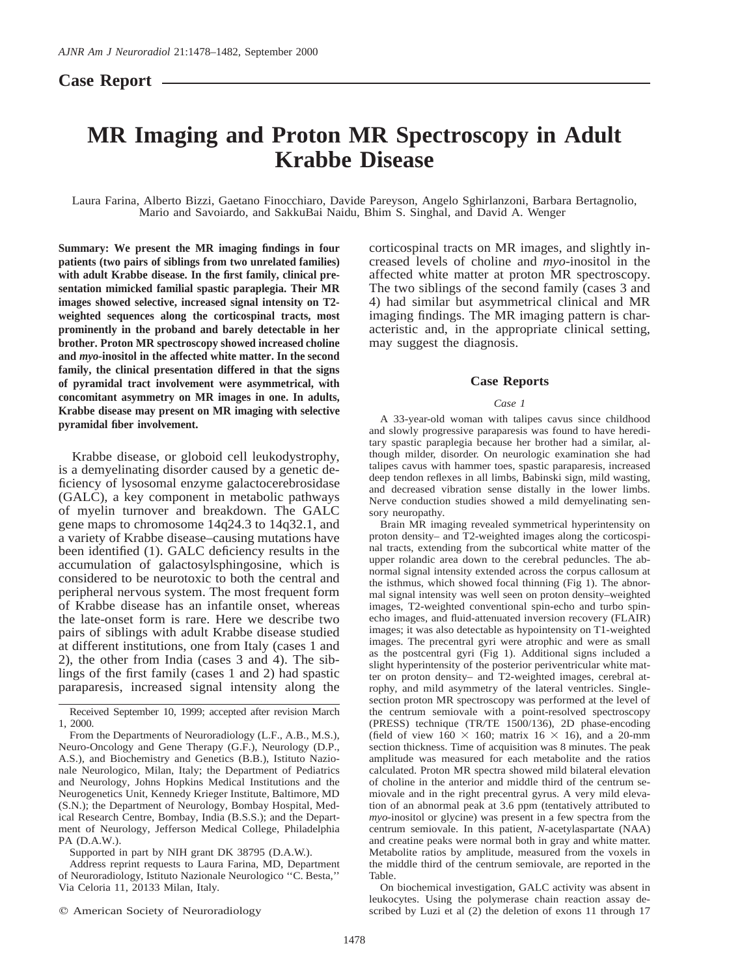## **Case Report**

# **MR Imaging and Proton MR Spectroscopy in Adult Krabbe Disease**

Laura Farina, Alberto Bizzi, Gaetano Finocchiaro, Davide Pareyson, Angelo Sghirlanzoni, Barbara Bertagnolio, Mario and Savoiardo, and SakkuBai Naidu, Bhim S. Singhal, and David A. Wenger

**Summary: We present the MR imaging findings in four patients (two pairs of siblings from two unrelated families) with adult Krabbe disease. In the first family, clinical presentation mimicked familial spastic paraplegia. Their MR images showed selective, increased signal intensity on T2 weighted sequences along the corticospinal tracts, most prominently in the proband and barely detectable in her brother. Proton MR spectroscopy showed increased choline and** *myo***-inositol in the affected white matter. In the second family, the clinical presentation differed in that the signs of pyramidal tract involvement were asymmetrical, with concomitant asymmetry on MR images in one. In adults, Krabbe disease may present on MR imaging with selective pyramidal fiber involvement.**

Krabbe disease, or globoid cell leukodystrophy, is a demyelinating disorder caused by a genetic deficiency of lysosomal enzyme galactocerebrosidase (GALC), a key component in metabolic pathways of myelin turnover and breakdown. The GALC gene maps to chromosome 14q24.3 to 14q32.1, and a variety of Krabbe disease–causing mutations have been identified (1). GALC deficiency results in the accumulation of galactosylsphingosine, which is considered to be neurotoxic to both the central and peripheral nervous system. The most frequent form of Krabbe disease has an infantile onset, whereas the late-onset form is rare. Here we describe two pairs of siblings with adult Krabbe disease studied at different institutions, one from Italy (cases 1 and 2), the other from India (cases 3 and 4). The siblings of the first family (cases 1 and 2) had spastic paraparesis, increased signal intensity along the

corticospinal tracts on MR images, and slightly increased levels of choline and *myo*-inositol in the affected white matter at proton MR spectroscopy. The two siblings of the second family (cases 3 and 4) had similar but asymmetrical clinical and MR imaging findings. The MR imaging pattern is characteristic and, in the appropriate clinical setting, may suggest the diagnosis.

## **Case Reports**

## *Case 1*

A 33-year-old woman with talipes cavus since childhood and slowly progressive paraparesis was found to have hereditary spastic paraplegia because her brother had a similar, although milder, disorder. On neurologic examination she had talipes cavus with hammer toes, spastic paraparesis, increased deep tendon reflexes in all limbs, Babinski sign, mild wasting, and decreased vibration sense distally in the lower limbs. Nerve conduction studies showed a mild demyelinating sensory neuropathy.

Brain MR imaging revealed symmetrical hyperintensity on proton density– and T2-weighted images along the corticospinal tracts, extending from the subcortical white matter of the upper rolandic area down to the cerebral peduncles. The abnormal signal intensity extended across the corpus callosum at the isthmus, which showed focal thinning (Fig 1). The abnormal signal intensity was well seen on proton density–weighted images, T2-weighted conventional spin-echo and turbo spinecho images, and fluid-attenuated inversion recovery (FLAIR) images; it was also detectable as hypointensity on T1-weighted images. The precentral gyri were atrophic and were as small as the postcentral gyri (Fig 1). Additional signs included a slight hyperintensity of the posterior periventricular white matter on proton density– and T2-weighted images, cerebral atrophy, and mild asymmetry of the lateral ventricles. Singlesection proton MR spectroscopy was performed at the level of the centrum semiovale with a point-resolved spectroscopy (PRESS) technique (TR/TE 1500/136), 2D phase-encoding (field of view  $160 \times 160$ ; matrix  $16 \times 16$ ), and a 20-mm section thickness. Time of acquisition was 8 minutes. The peak amplitude was measured for each metabolite and the ratios calculated. Proton MR spectra showed mild bilateral elevation of choline in the anterior and middle third of the centrum semiovale and in the right precentral gyrus. A very mild elevation of an abnormal peak at 3.6 ppm (tentatively attributed to *myo*-inositol or glycine) was present in a few spectra from the centrum semiovale. In this patient, *N*-acetylaspartate (NAA) and creatine peaks were normal both in gray and white matter. Metabolite ratios by amplitude, measured from the voxels in the middle third of the centrum semiovale, are reported in the Table.

On biochemical investigation, GALC activity was absent in leukocytes. Using the polymerase chain reaction assay described by Luzi et al  $(2)$  the deletion of exons 11 through 17

Received September 10, 1999; accepted after revision March 1, 2000.

From the Departments of Neuroradiology (L.F., A.B., M.S.), Neuro-Oncology and Gene Therapy (G.F.), Neurology (D.P., A.S.), and Biochemistry and Genetics (B.B.), Istituto Nazionale Neurologico, Milan, Italy; the Department of Pediatrics and Neurology, Johns Hopkins Medical Institutions and the Neurogenetics Unit, Kennedy Krieger Institute, Baltimore, MD (S.N.); the Department of Neurology, Bombay Hospital, Medical Research Centre, Bombay, India (B.S.S.); and the Department of Neurology, Jefferson Medical College, Philadelphia PA (D.A.W.).

Supported in part by NIH grant DK 38795 (D.A.W.).

Address reprint requests to Laura Farina, MD, Department of Neuroradiology, Istituto Nazionale Neurologico ''C. Besta,'' Via Celoria 11, 20133 Milan, Italy.

 $Q$  American Society of Neuroradiology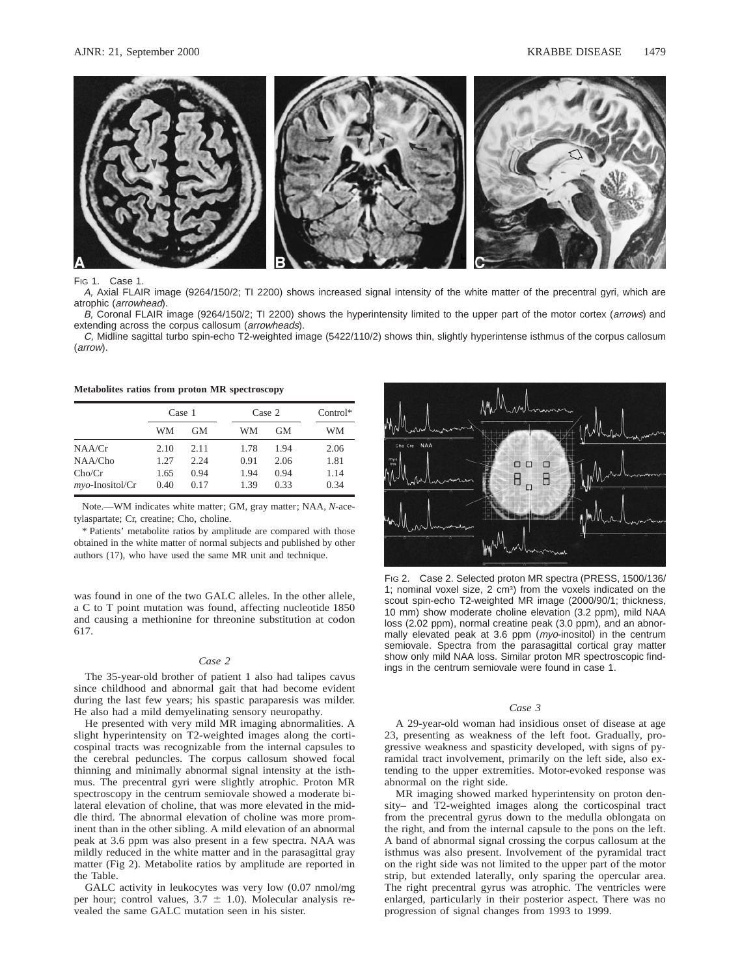

#### FIG 1. Case 1.

A, Axial FLAIR image (9264/150/2; TI 2200) shows increased signal intensity of the white matter of the precentral gyri, which are atrophic (arrowhead).

B, Coronal FLAIR image (9264/150/2; TI 2200) shows the hyperintensity limited to the upper part of the motor cortex (arrows) and extending across the corpus callosum (arrowheads).

C, Midline sagittal turbo spin-echo T2-weighted image (5422/110/2) shows thin, slightly hyperintense isthmus of the corpus callosum (arrow).

|  |  |  |  |  | Metabolites ratios from proton MR spectroscopy |
|--|--|--|--|--|------------------------------------------------|
|--|--|--|--|--|------------------------------------------------|

|                    | Case 1 |      | Case 2 | $Control*$ |      |
|--------------------|--------|------|--------|------------|------|
|                    | WМ     | GМ   | WМ     | GМ         | WМ   |
| NAA/Cr             | 2.10   | 2.11 | 1.78   | 1.94       | 2.06 |
| NAA/Cho            | 1.27   | 2.24 | 0.91   | 2.06       | 1.81 |
| Cho/Cr             | 1.65   | 0.94 | 1.94   | 0.94       | 1.14 |
| $myo$ -Inositol/Cr | 0.40   | 0.17 | 1.39   | 0.33       | 0.34 |

Note.—WM indicates white matter; GM, gray matter; NAA, *N*-acetylaspartate; Cr, creatine; Cho, choline.

\* Patients' metabolite ratios by amplitude are compared with those obtained in the white matter of normal subjects and published by other authors (17), who have used the same MR unit and technique.

was found in one of the two GALC alleles. In the other allele, a C to T point mutation was found, affecting nucleotide 1850 and causing a methionine for threonine substitution at codon 617.

#### *Case 2*

The 35-year-old brother of patient 1 also had talipes cavus since childhood and abnormal gait that had become evident during the last few years; his spastic paraparesis was milder. He also had a mild demyelinating sensory neuropathy.

He presented with very mild MR imaging abnormalities. A slight hyperintensity on T2-weighted images along the corticospinal tracts was recognizable from the internal capsules to the cerebral peduncles. The corpus callosum showed focal thinning and minimally abnormal signal intensity at the isthmus. The precentral gyri were slightly atrophic. Proton MR spectroscopy in the centrum semiovale showed a moderate bilateral elevation of choline, that was more elevated in the middle third. The abnormal elevation of choline was more prominent than in the other sibling. A mild elevation of an abnormal peak at 3.6 ppm was also present in a few spectra. NAA was mildly reduced in the white matter and in the parasagittal gray matter (Fig 2). Metabolite ratios by amplitude are reported in the Table.

GALC activity in leukocytes was very low (0.07 nmol/mg per hour; control values,  $3.7 \pm 1.0$ ). Molecular analysis revealed the same GALC mutation seen in his sister.



FIG 2. Case 2. Selected proton MR spectra (PRESS, 1500/136/ 1; nominal voxel size, 2 cm<sup>3</sup>) from the voxels indicated on the scout spin-echo T2-weighted MR image (2000/90/1; thickness, 10 mm) show moderate choline elevation (3.2 ppm), mild NAA loss (2.02 ppm), normal creatine peak (3.0 ppm), and an abnormally elevated peak at 3.6 ppm (*myo*-inositol) in the centrum semiovale. Spectra from the parasagittal cortical gray matter show only mild NAA loss. Similar proton MR spectroscopic findings in the centrum semiovale were found in case 1.

#### *Case 3*

A 29-year-old woman had insidious onset of disease at age 23, presenting as weakness of the left foot. Gradually, progressive weakness and spasticity developed, with signs of pyramidal tract involvement, primarily on the left side, also extending to the upper extremities. Motor-evoked response was abnormal on the right side.

MR imaging showed marked hyperintensity on proton density– and T2-weighted images along the corticospinal tract from the precentral gyrus down to the medulla oblongata on the right, and from the internal capsule to the pons on the left. A band of abnormal signal crossing the corpus callosum at the isthmus was also present. Involvement of the pyramidal tract on the right side was not limited to the upper part of the motor strip, but extended laterally, only sparing the opercular area. The right precentral gyrus was atrophic. The ventricles were enlarged, particularly in their posterior aspect. There was no progression of signal changes from 1993 to 1999.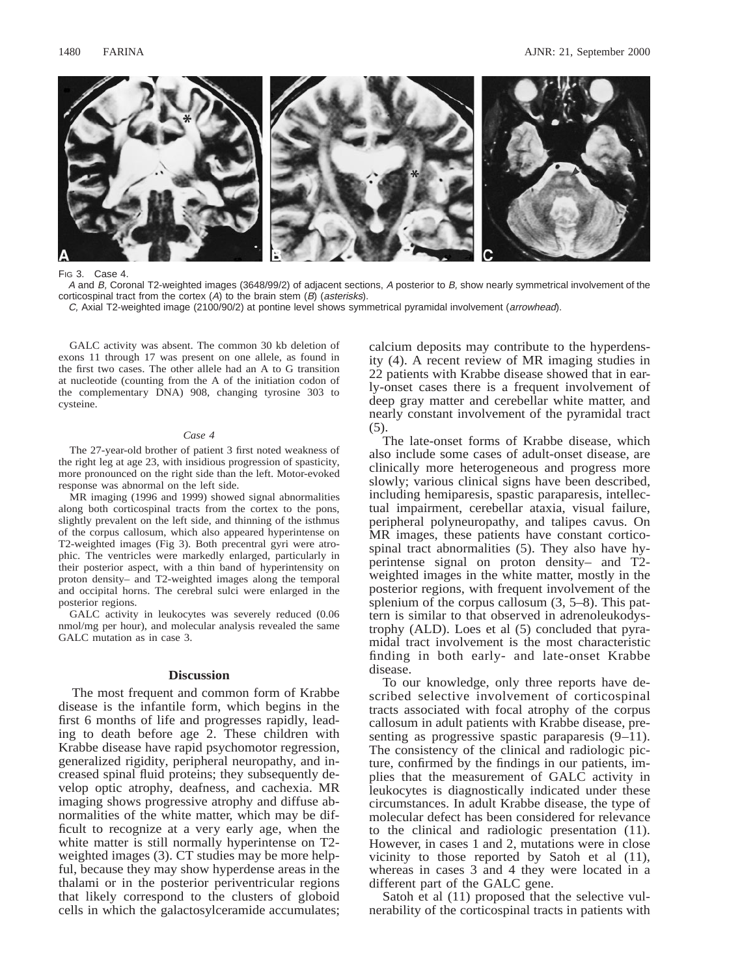

#### FIG 3. Case 4.

A and B, Coronal T2-weighted images (3648/99/2) of adjacent sections, A posterior to B, show nearly symmetrical involvement of the corticospinal tract from the cortex (A) to the brain stem (B) (asterisks).

C, Axial T2-weighted image (2100/90/2) at pontine level shows symmetrical pyramidal involvement (arrowhead).

GALC activity was absent. The common 30 kb deletion of exons 11 through 17 was present on one allele, as found in the first two cases. The other allele had an A to G transition at nucleotide (counting from the A of the initiation codon of the complementary DNA) 908, changing tyrosine 303 to cysteine.

#### *Case 4*

The 27-year-old brother of patient 3 first noted weakness of the right leg at age 23, with insidious progression of spasticity, more pronounced on the right side than the left. Motor-evoked response was abnormal on the left side.

MR imaging (1996 and 1999) showed signal abnormalities along both corticospinal tracts from the cortex to the pons, slightly prevalent on the left side, and thinning of the isthmus of the corpus callosum, which also appeared hyperintense on T2-weighted images (Fig 3). Both precentral gyri were atrophic. The ventricles were markedly enlarged, particularly in their posterior aspect, with a thin band of hyperintensity on proton density– and T2-weighted images along the temporal and occipital horns. The cerebral sulci were enlarged in the posterior regions.

GALC activity in leukocytes was severely reduced (0.06 nmol/mg per hour), and molecular analysis revealed the same GALC mutation as in case 3.

#### **Discussion**

The most frequent and common form of Krabbe disease is the infantile form, which begins in the first 6 months of life and progresses rapidly, leading to death before age 2. These children with Krabbe disease have rapid psychomotor regression, generalized rigidity, peripheral neuropathy, and increased spinal fluid proteins; they subsequently develop optic atrophy, deafness, and cachexia. MR imaging shows progressive atrophy and diffuse abnormalities of the white matter, which may be difficult to recognize at a very early age, when the white matter is still normally hyperintense on T2 weighted images (3). CT studies may be more helpful, because they may show hyperdense areas in the thalami or in the posterior periventricular regions that likely correspond to the clusters of globoid cells in which the galactosylceramide accumulates;

calcium deposits may contribute to the hyperdensity (4). A recent review of MR imaging studies in 22 patients with Krabbe disease showed that in early-onset cases there is a frequent involvement of deep gray matter and cerebellar white matter, and nearly constant involvement of the pyramidal tract (5).

The late-onset forms of Krabbe disease, which also include some cases of adult-onset disease, are clinically more heterogeneous and progress more slowly; various clinical signs have been described, including hemiparesis, spastic paraparesis, intellectual impairment, cerebellar ataxia, visual failure, peripheral polyneuropathy, and talipes cavus. On MR images, these patients have constant corticospinal tract abnormalities (5). They also have hyperintense signal on proton density– and T2 weighted images in the white matter, mostly in the posterior regions, with frequent involvement of the splenium of the corpus callosum (3, 5–8). This pattern is similar to that observed in adrenoleukodystrophy (ALD). Loes et al (5) concluded that pyramidal tract involvement is the most characteristic finding in both early- and late-onset Krabbe disease.

To our knowledge, only three reports have described selective involvement of corticospinal tracts associated with focal atrophy of the corpus callosum in adult patients with Krabbe disease, presenting as progressive spastic paraparesis  $(9-11)$ . The consistency of the clinical and radiologic picture, confirmed by the findings in our patients, implies that the measurement of GALC activity in leukocytes is diagnostically indicated under these circumstances. In adult Krabbe disease, the type of molecular defect has been considered for relevance to the clinical and radiologic presentation (11). However, in cases 1 and 2, mutations were in close vicinity to those reported by Satoh et al (11), whereas in cases 3 and 4 they were located in a different part of the GALC gene.

Satoh et al (11) proposed that the selective vulnerability of the corticospinal tracts in patients with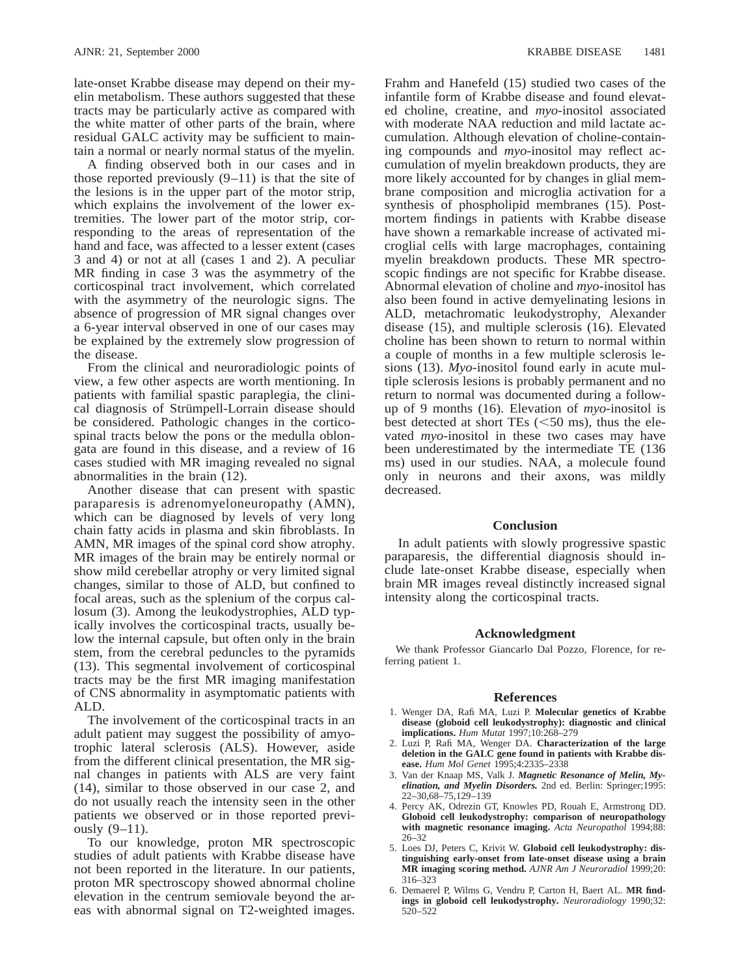late-onset Krabbe disease may depend on their myelin metabolism. These authors suggested that these tracts may be particularly active as compared with the white matter of other parts of the brain, where residual GALC activity may be sufficient to maintain a normal or nearly normal status of the myelin.

A finding observed both in our cases and in those reported previously  $(9-11)$  is that the site of the lesions is in the upper part of the motor strip, which explains the involvement of the lower extremities. The lower part of the motor strip, corresponding to the areas of representation of the hand and face, was affected to a lesser extent (cases 3 and 4) or not at all (cases 1 and 2). A peculiar MR finding in case 3 was the asymmetry of the corticospinal tract involvement, which correlated with the asymmetry of the neurologic signs. The absence of progression of MR signal changes over a 6-year interval observed in one of our cases may be explained by the extremely slow progression of the disease.

From the clinical and neuroradiologic points of view, a few other aspects are worth mentioning. In patients with familial spastic paraplegia, the clinical diagnosis of Strümpell-Lorrain disease should be considered. Pathologic changes in the corticospinal tracts below the pons or the medulla oblongata are found in this disease, and a review of 16 cases studied with MR imaging revealed no signal abnormalities in the brain (12).

Another disease that can present with spastic paraparesis is adrenomyeloneuropathy (AMN), which can be diagnosed by levels of very long chain fatty acids in plasma and skin fibroblasts. In AMN, MR images of the spinal cord show atrophy. MR images of the brain may be entirely normal or show mild cerebellar atrophy or very limited signal changes, similar to those of ALD, but confined to focal areas, such as the splenium of the corpus callosum (3). Among the leukodystrophies, ALD typically involves the corticospinal tracts, usually below the internal capsule, but often only in the brain stem, from the cerebral peduncles to the pyramids (13). This segmental involvement of corticospinal tracts may be the first MR imaging manifestation of CNS abnormality in asymptomatic patients with ALD.

The involvement of the corticospinal tracts in an adult patient may suggest the possibility of amyotrophic lateral sclerosis (ALS). However, aside from the different clinical presentation, the MR signal changes in patients with ALS are very faint (14), similar to those observed in our case 2, and do not usually reach the intensity seen in the other patients we observed or in those reported previously (9–11).

To our knowledge, proton MR spectroscopic studies of adult patients with Krabbe disease have not been reported in the literature. In our patients, proton MR spectroscopy showed abnormal choline elevation in the centrum semiovale beyond the areas with abnormal signal on T2-weighted images.

Frahm and Hanefeld (15) studied two cases of the infantile form of Krabbe disease and found elevated choline, creatine, and *myo*-inositol associated with moderate NAA reduction and mild lactate accumulation. Although elevation of choline-containing compounds and *myo*-inositol may reflect accumulation of myelin breakdown products, they are more likely accounted for by changes in glial membrane composition and microglia activation for a synthesis of phospholipid membranes (15). Postmortem findings in patients with Krabbe disease have shown a remarkable increase of activated microglial cells with large macrophages, containing myelin breakdown products. These MR spectroscopic findings are not specific for Krabbe disease. Abnormal elevation of choline and *myo*-inositol has also been found in active demyelinating lesions in ALD, metachromatic leukodystrophy, Alexander disease (15), and multiple sclerosis (16). Elevated choline has been shown to return to normal within a couple of months in a few multiple sclerosis lesions (13). *Myo*-inositol found early in acute multiple sclerosis lesions is probably permanent and no return to normal was documented during a followup of 9 months (16). Elevation of *myo*-inositol is best detected at short TEs  $(< 50$  ms), thus the elevated *myo*-inositol in these two cases may have been underestimated by the intermediate TE (136 ms) used in our studies. NAA, a molecule found only in neurons and their axons, was mildly decreased.

### **Conclusion**

In adult patients with slowly progressive spastic paraparesis, the differential diagnosis should include late-onset Krabbe disease, especially when brain MR images reveal distinctly increased signal intensity along the corticospinal tracts.

#### **Acknowledgment**

We thank Professor Giancarlo Dal Pozzo, Florence, for referring patient 1.

#### **References**

- 1. Wenger DA, Rafi MA, Luzi P. **Molecular genetics of Krabbe disease (globoid cell leukodystrophy): diagnostic and clinical implications.** *Hum Mutat* 1997;10:268–279
- 2. Luzi P, Rafi MA, Wenger DA. **Characterization of the large deletion in the GALC gene found in patients with Krabbe disease.** *Hum Mol Genet* 1995;4:2335–2338
- 3. Van der Knaap MS, Valk J. *Magnetic Resonance of Melin, Myelination, and Myelin Disorders.* 2nd ed. Berlin: Springer;1995: 22–30,68–75,129–139
- 4. Percy AK, Odrezin GT, Knowles PD, Rouah E, Armstrong DD. **Globoid cell leukodystrophy: comparison of neuropathology with magnetic resonance imaging.** *Acta Neuropathol* 1994;88: 26–32
- 5. Loes DJ, Peters C, Krivit W. **Globoid cell leukodystrophy: distinguishing early-onset from late-onset disease using a brain MR imaging scoring method.** *AJNR Am J Neuroradiol* 1999;20: 316–323
- 6. Demaerel P, Wilms G, Vendru P, Carton H, Baert AL. **MR findings in globoid cell leukodystrophy.** *Neuroradiology* 1990;32: 520–522